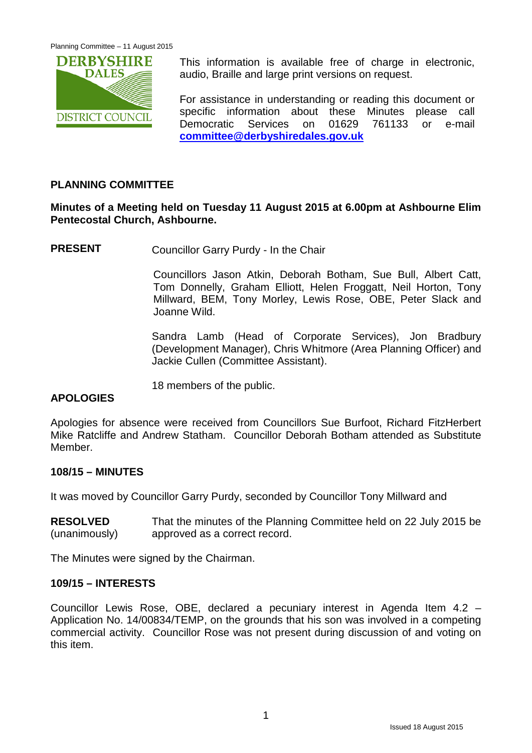

This information is available free of charge in electronic, audio, Braille and large print versions on request.

For assistance in understanding or reading this document or specific information about these Minutes please call Democratic Services on 01629 761133 or e-mail **[committee@derbyshiredales.gov.uk](mailto:committee@derbyshiredales.gov.uk)**

## **PLANNING COMMITTEE**

## **Minutes of a Meeting held on Tuesday 11 August 2015 at 6.00pm at Ashbourne Elim Pentecostal Church, Ashbourne.**

**PRESENT** Councillor Garry Purdy - In the Chair

Councillors Jason Atkin, Deborah Botham, Sue Bull, Albert Catt, Tom Donnelly, Graham Elliott, Helen Froggatt, Neil Horton, Tony Millward, BEM, Tony Morley, Lewis Rose, OBE, Peter Slack and Joanne Wild.

Sandra Lamb (Head of Corporate Services), Jon Bradbury (Development Manager), Chris Whitmore (Area Planning Officer) and Jackie Cullen (Committee Assistant).

18 members of the public.

# **APOLOGIES**

Apologies for absence were received from Councillors Sue Burfoot, Richard FitzHerbert Mike Ratcliffe and Andrew Statham. Councillor Deborah Botham attended as Substitute Member.

## **108/15 – MINUTES**

It was moved by Councillor Garry Purdy, seconded by Councillor Tony Millward and

**RESOLVED** (unanimously) That the minutes of the Planning Committee held on 22 July 2015 be approved as a correct record.

The Minutes were signed by the Chairman.

## **109/15 – INTERESTS**

Councillor Lewis Rose, OBE, declared a pecuniary interest in Agenda Item 4.2 – Application No. 14/00834/TEMP, on the grounds that his son was involved in a competing commercial activity. Councillor Rose was not present during discussion of and voting on this item.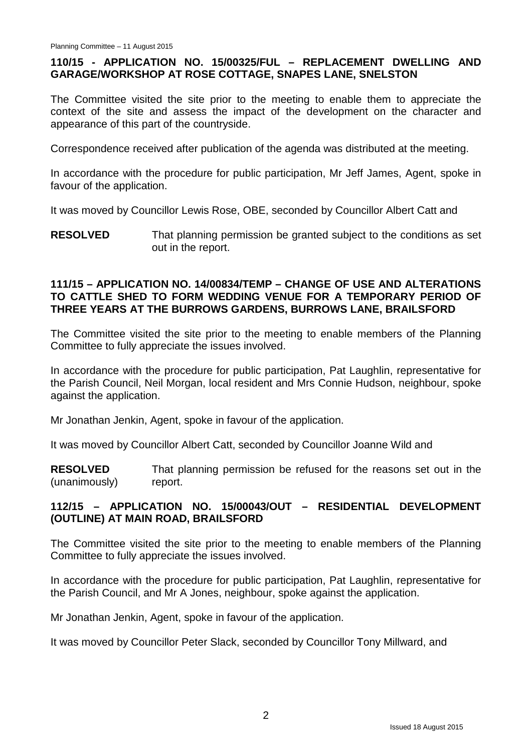## **110/15 - APPLICATION NO. 15/00325/FUL – REPLACEMENT DWELLING AND GARAGE/WORKSHOP AT ROSE COTTAGE, SNAPES LANE, SNELSTON**

The Committee visited the site prior to the meeting to enable them to appreciate the context of the site and assess the impact of the development on the character and appearance of this part of the countryside.

Correspondence received after publication of the agenda was distributed at the meeting.

In accordance with the procedure for public participation, Mr Jeff James, Agent, spoke in favour of the application.

It was moved by Councillor Lewis Rose, OBE, seconded by Councillor Albert Catt and

**RESOLVED** That planning permission be granted subject to the conditions as set out in the report.

#### **111/15 – APPLICATION NO. 14/00834/TEMP – CHANGE OF USE AND ALTERATIONS TO CATTLE SHED TO FORM WEDDING VENUE FOR A TEMPORARY PERIOD OF THREE YEARS AT THE BURROWS GARDENS, BURROWS LANE, BRAILSFORD**

The Committee visited the site prior to the meeting to enable members of the Planning Committee to fully appreciate the issues involved.

In accordance with the procedure for public participation, Pat Laughlin, representative for the Parish Council, Neil Morgan, local resident and Mrs Connie Hudson, neighbour, spoke against the application.

Mr Jonathan Jenkin, Agent, spoke in favour of the application.

It was moved by Councillor Albert Catt, seconded by Councillor Joanne Wild and

**RESOLVED** (unanimously) That planning permission be refused for the reasons set out in the report.

## **112/15 – APPLICATION NO. 15/00043/OUT – RESIDENTIAL DEVELOPMENT (OUTLINE) AT MAIN ROAD, BRAILSFORD**

The Committee visited the site prior to the meeting to enable members of the Planning Committee to fully appreciate the issues involved.

In accordance with the procedure for public participation, Pat Laughlin, representative for the Parish Council, and Mr A Jones, neighbour, spoke against the application.

Mr Jonathan Jenkin, Agent, spoke in favour of the application.

It was moved by Councillor Peter Slack, seconded by Councillor Tony Millward, and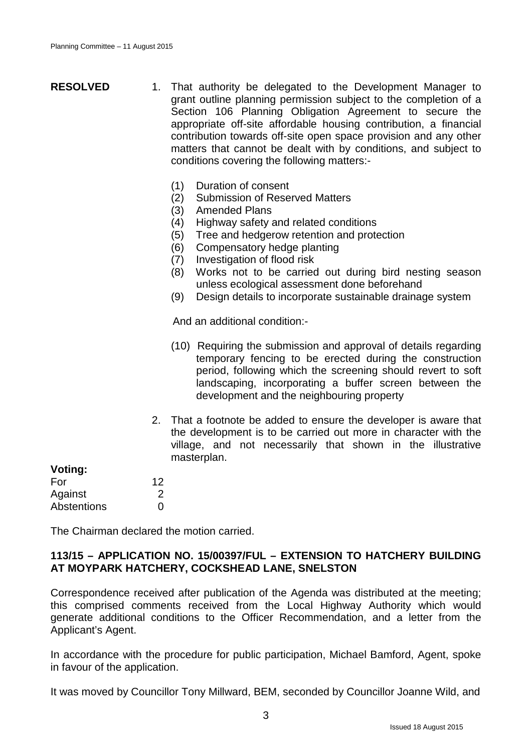| <b>RESOLVED</b> | 1. That authority be delegated to the Development Manager to<br>grant outline planning permission subject to the completion of a<br>Section 106 Planning Obligation Agreement to secure the<br>appropriate off-site affordable housing contribution, a financial<br>contribution towards off-site open space provision and any other<br>matters that cannot be dealt with by conditions, and subject to<br>conditions covering the following matters:- |
|-----------------|--------------------------------------------------------------------------------------------------------------------------------------------------------------------------------------------------------------------------------------------------------------------------------------------------------------------------------------------------------------------------------------------------------------------------------------------------------|
|                 |                                                                                                                                                                                                                                                                                                                                                                                                                                                        |

- (1) Duration of consent
- (2) Submission of Reserved Matters
- (3) Amended Plans
- (4) Highway safety and related conditions
- (5) Tree and hedgerow retention and protection
- (6) Compensatory hedge planting
- (7) Investigation of flood risk
- (8) Works not to be carried out during bird nesting season unless ecological assessment done beforehand
- (9) Design details to incorporate sustainable drainage system

And an additional condition:-

- (10) Requiring the submission and approval of details regarding temporary fencing to be erected during the construction period, following which the screening should revert to soft landscaping, incorporating a buffer screen between the development and the neighbouring property
- 2. That a footnote be added to ensure the developer is aware that the development is to be carried out more in character with the village, and not necessarily that shown in the illustrative masterplan.

| Voting:     |    |
|-------------|----|
| For         | 12 |
| Against     | 2  |
| Abstentions | O  |

The Chairman declared the motion carried.

#### **113/15 – APPLICATION NO. 15/00397/FUL – EXTENSION TO HATCHERY BUILDING AT MOYPARK HATCHERY, COCKSHEAD LANE, SNELSTON**

Correspondence received after publication of the Agenda was distributed at the meeting; this comprised comments received from the Local Highway Authority which would generate additional conditions to the Officer Recommendation, and a letter from the Applicant's Agent.

In accordance with the procedure for public participation, Michael Bamford, Agent, spoke in favour of the application.

It was moved by Councillor Tony Millward, BEM, seconded by Councillor Joanne Wild, and